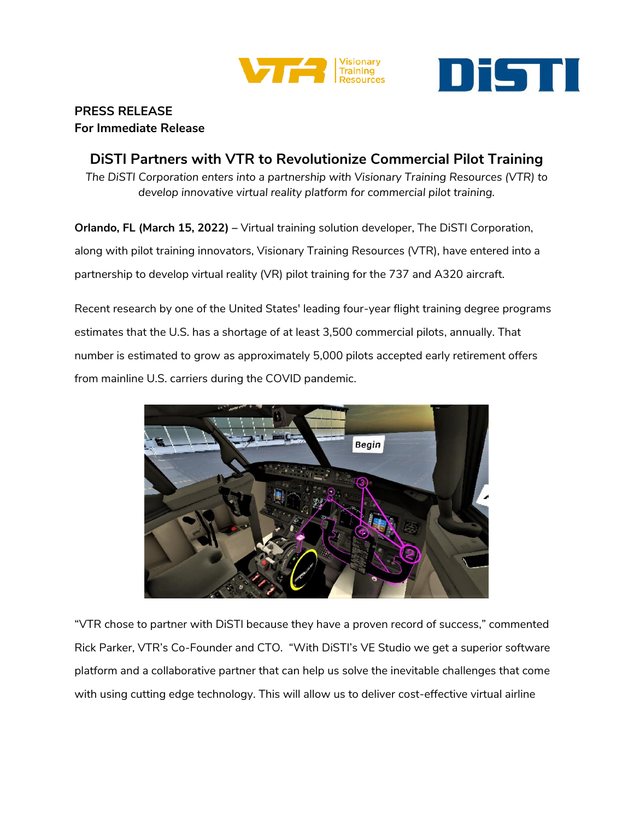



## **PRESS RELEASE For Immediate Release**

**DiSTI Partners with VTR to Revolutionize Commercial Pilot Training** *The DiSTI Corporation enters into a partnership with Visionary Training Resources (VTR) to develop innovative virtual reality platform for commercial pilot training.*

**Orlando, FL (March 15, 2022) –** Virtual training solution developer, The DiSTI Corporation, along with pilot training innovators, Visionary Training Resources (VTR), have entered into a partnership to develop virtual reality (VR) pilot training for the 737 and A320 aircraft.

Recent research by one of the United States' leading four-year flight training degree programs estimates that the U.S. has a shortage of at least 3,500 commercial pilots, annually. That number is estimated to grow as approximately 5,000 pilots accepted early retirement offers from mainline U.S. carriers during the COVID pandemic.



"VTR chose to partner with DiSTI because they have a proven record of success," commented Rick Parker, VTR's Co-Founder and CTO. "With DiSTI's VE Studio we get a superior software platform and a collaborative partner that can help us solve the inevitable challenges that come with using cutting edge technology. This will allow us to deliver cost-effective virtual airline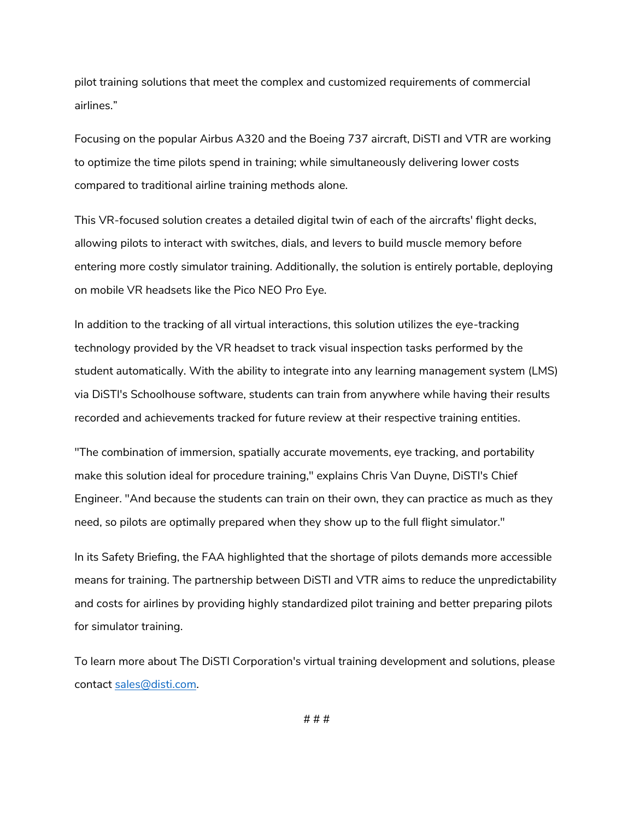pilot training solutions that meet the complex and customized requirements of commercial airlines."

Focusing on the popular Airbus A320 and the Boeing 737 aircraft, DiSTI and VTR are working to optimize the time pilots spend in training; while simultaneously delivering lower costs compared to traditional airline training methods alone.

This VR-focused solution creates a detailed digital twin of each of the aircrafts' flight decks, allowing pilots to interact with switches, dials, and levers to build muscle memory before entering more costly simulator training. Additionally, the solution is entirely portable, deploying on mobile VR headsets like the Pico NEO Pro Eye.

In addition to the tracking of all virtual interactions, this solution utilizes the eye-tracking technology provided by the VR headset to track visual inspection tasks performed by the student automatically. With the ability to integrate into any learning management system (LMS) via DiSTI's Schoolhouse software, students can train from anywhere while having their results recorded and achievements tracked for future review at their respective training entities.

"The combination of immersion, spatially accurate movements, eye tracking, and portability make this solution ideal for procedure training," explains Chris Van Duyne, DiSTI's Chief Engineer. "And because the students can train on their own, they can practice as much as they need, so pilots are optimally prepared when they show up to the full flight simulator."

In its Safety Briefing, the FAA highlighted that the shortage of pilots demands more accessible means for training. The partnership between DiSTI and VTR aims to reduce the unpredictability and costs for airlines by providing highly standardized pilot training and better preparing pilots for simulator training.

To learn more about The DiSTI Corporation's virtual training development and solutions, please contact [sales@disti.com.](mailto:sales@disti.com)